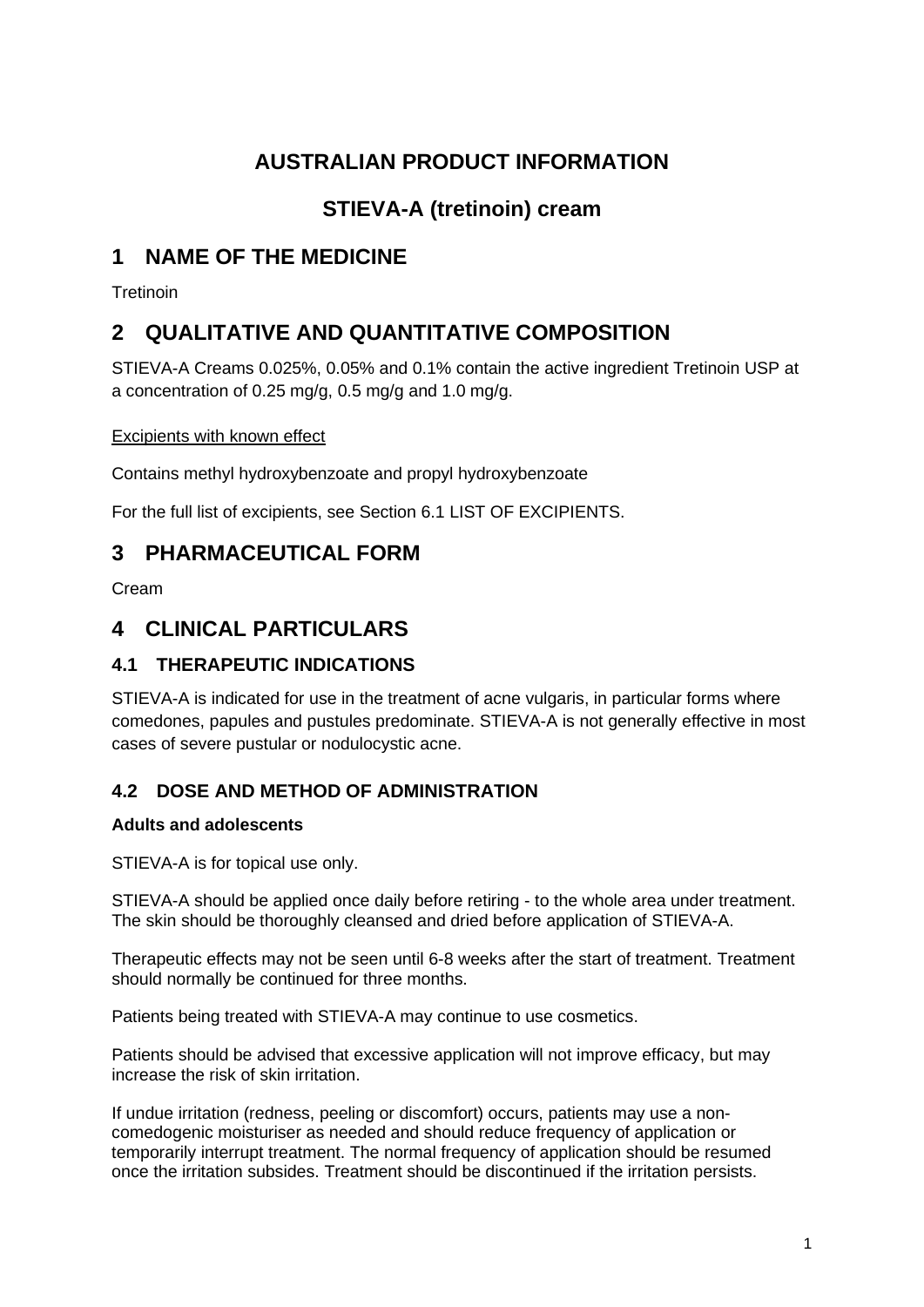# **AUSTRALIAN PRODUCT INFORMATION**

# **STIEVA-A (tretinoin) cream**

# **1 NAME OF THE MEDICINE**

**Tretinoin** 

# **2 QUALITATIVE AND QUANTITATIVE COMPOSITION**

STIEVA-A Creams 0.025%, 0.05% and 0.1% contain the active ingredient Tretinoin USP at a concentration of 0.25 mg/g, 0.5 mg/g and 1.0 mg/g.

#### Excipients with known effect

Contains methyl hydroxybenzoate and propyl hydroxybenzoate

For the full list of excipients, see Section 6.1 LIST OF EXCIPIENTS.

## **3 PHARMACEUTICAL FORM**

Cream

## **4 CLINICAL PARTICULARS**

## **4.1 THERAPEUTIC INDICATIONS**

STIEVA-A is indicated for use in the treatment of acne vulgaris, in particular forms where comedones, papules and pustules predominate. STIEVA-A is not generally effective in most cases of severe pustular or nodulocystic acne.

### **4.2 DOSE AND METHOD OF ADMINISTRATION**

#### **Adults and adolescents**

STIEVA-A is for topical use only.

STIEVA-A should be applied once daily before retiring - to the whole area under treatment. The skin should be thoroughly cleansed and dried before application of STIEVA-A.

Therapeutic effects may not be seen until 6-8 weeks after the start of treatment. Treatment should normally be continued for three months.

Patients being treated with STIEVA-A may continue to use cosmetics.

Patients should be advised that excessive application will not improve efficacy, but may increase the risk of skin irritation.

If undue irritation (redness, peeling or discomfort) occurs, patients may use a noncomedogenic moisturiser as needed and should reduce frequency of application or temporarily interrupt treatment. The normal frequency of application should be resumed once the irritation subsides. Treatment should be discontinued if the irritation persists.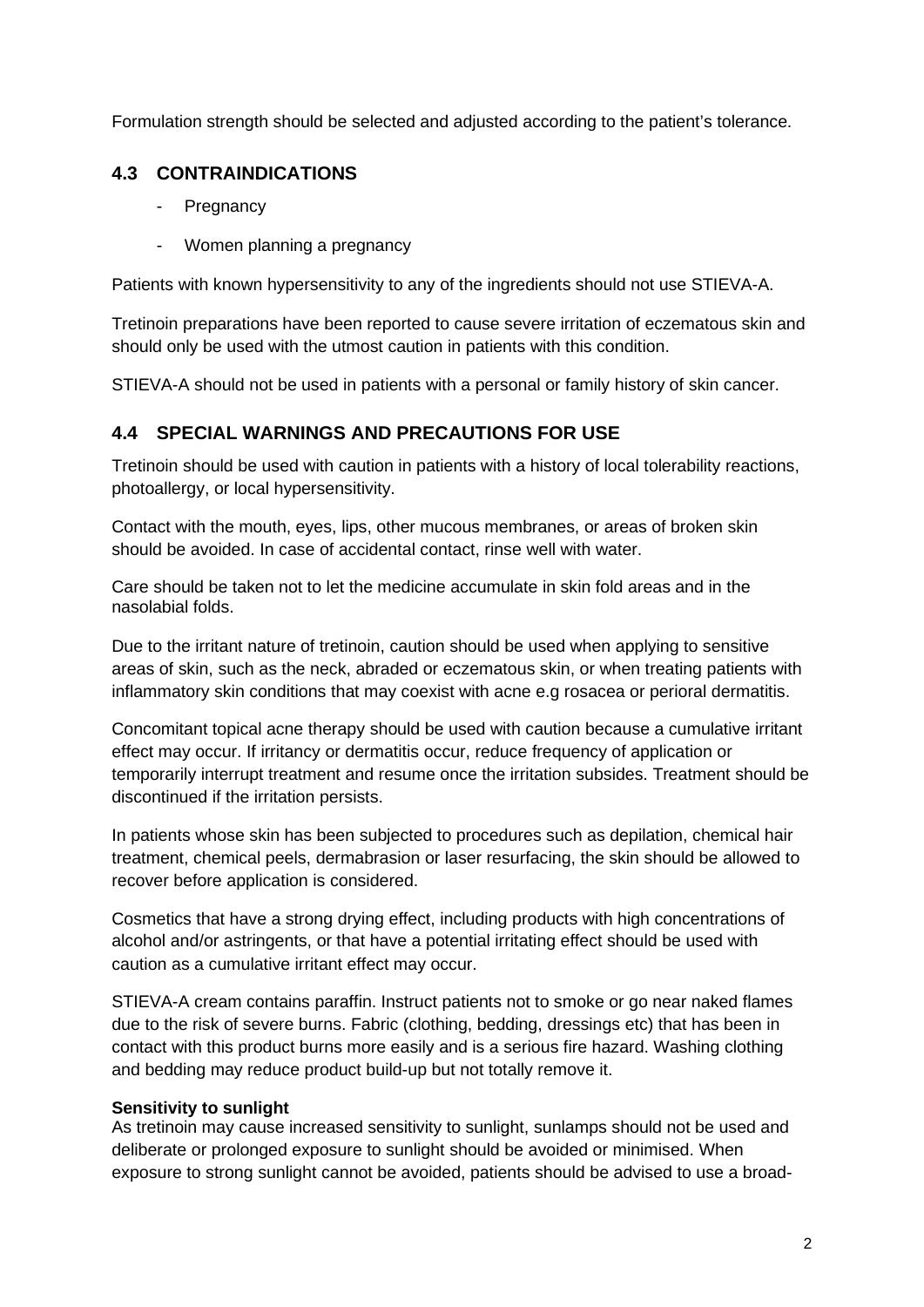Formulation strength should be selected and adjusted according to the patient's tolerance.

## **4.3 CONTRAINDICATIONS**

- Pregnancy
- Women planning a pregnancy

Patients with known hypersensitivity to any of the ingredients should not use STIEVA-A.

Tretinoin preparations have been reported to cause severe irritation of eczematous skin and should only be used with the utmost caution in patients with this condition.

STIEVA-A should not be used in patients with a personal or family history of skin cancer.

### **4.4 SPECIAL WARNINGS AND PRECAUTIONS FOR USE**

Tretinoin should be used with caution in patients with a history of local tolerability reactions, photoallergy, or local hypersensitivity.

Contact with the mouth, eyes, lips, other mucous membranes, or areas of broken skin should be avoided. In case of accidental contact, rinse well with water.

Care should be taken not to let the medicine accumulate in skin fold areas and in the nasolabial folds.

Due to the irritant nature of tretinoin, caution should be used when applying to sensitive areas of skin, such as the neck, abraded or eczematous skin, or when treating patients with inflammatory skin conditions that may coexist with acne e.g rosacea or perioral dermatitis.

Concomitant topical acne therapy should be used with caution because a cumulative irritant effect may occur. If irritancy or dermatitis occur, reduce frequency of application or temporarily interrupt treatment and resume once the irritation subsides. Treatment should be discontinued if the irritation persists.

In patients whose skin has been subjected to procedures such as depilation, chemical hair treatment, chemical peels, dermabrasion or laser resurfacing, the skin should be allowed to recover before application is considered.

Cosmetics that have a strong drying effect, including products with high concentrations of alcohol and/or astringents, or that have a potential irritating effect should be used with caution as a cumulative irritant effect may occur.

STIEVA-A cream contains paraffin. Instruct patients not to smoke or go near naked flames due to the risk of severe burns. Fabric (clothing, bedding, dressings etc) that has been in contact with this product burns more easily and is a serious fire hazard. Washing clothing and bedding may reduce product build-up but not totally remove it.

#### **Sensitivity to sunlight**

As tretinoin may cause increased sensitivity to sunlight, sunlamps should not be used and deliberate or prolonged exposure to sunlight should be avoided or minimised. When exposure to strong sunlight cannot be avoided, patients should be advised to use a broad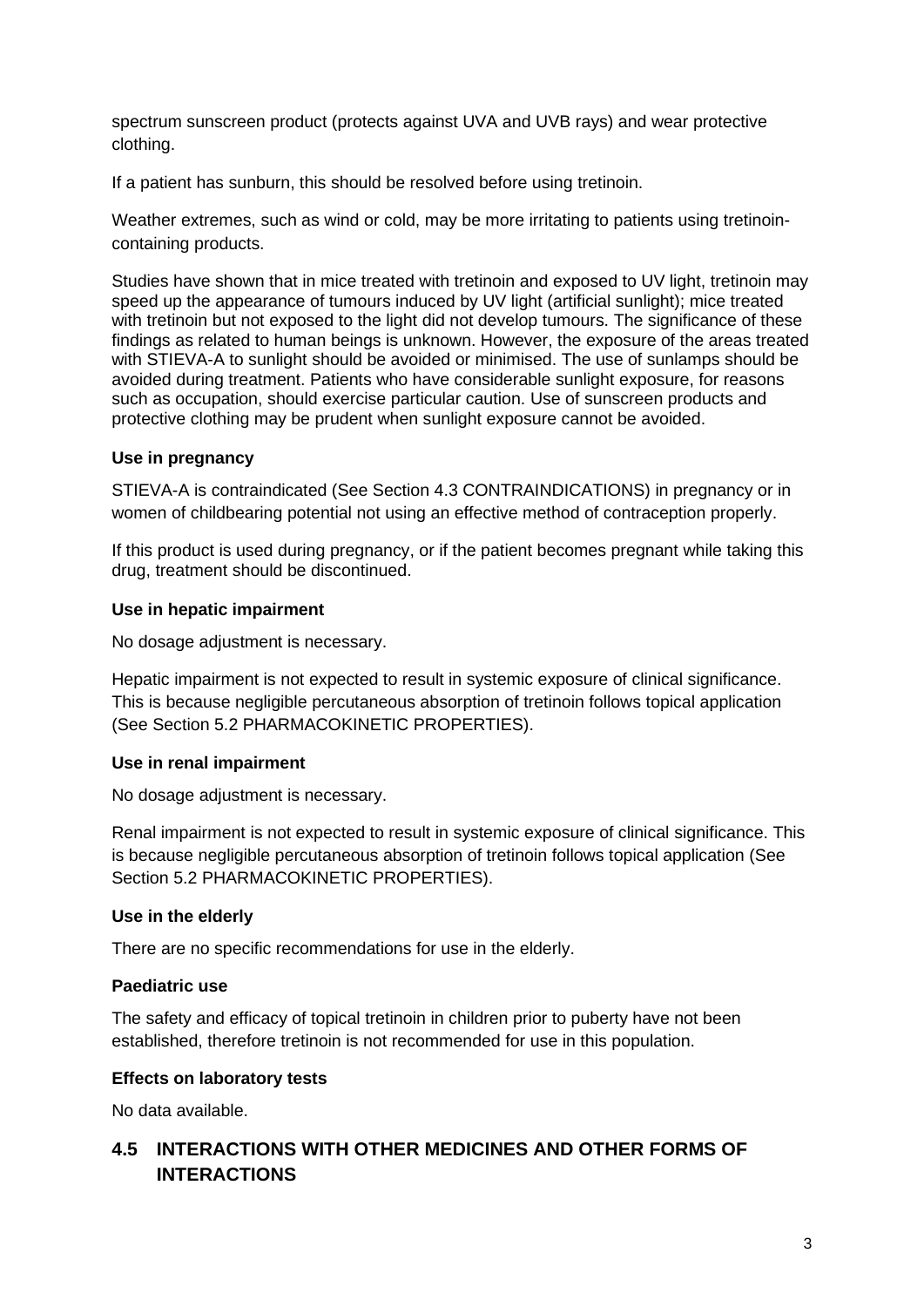spectrum sunscreen product (protects against UVA and UVB rays) and wear protective clothing.

If a patient has sunburn, this should be resolved before using tretinoin.

Weather extremes, such as wind or cold, may be more irritating to patients using tretinoincontaining products.

Studies have shown that in mice treated with tretinoin and exposed to UV light, tretinoin may speed up the appearance of tumours induced by UV light (artificial sunlight); mice treated with tretinoin but not exposed to the light did not develop tumours. The significance of these findings as related to human beings is unknown. However, the exposure of the areas treated with STIEVA-A to sunlight should be avoided or minimised. The use of sunlamps should be avoided during treatment. Patients who have considerable sunlight exposure, for reasons such as occupation, should exercise particular caution. Use of sunscreen products and protective clothing may be prudent when sunlight exposure cannot be avoided.

#### **Use in pregnancy**

STIEVA-A is contraindicated (See Section 4.3 CONTRAINDICATIONS) in pregnancy or in women of childbearing potential not using an effective method of contraception properly.

If this product is used during pregnancy, or if the patient becomes pregnant while taking this drug, treatment should be discontinued.

#### **Use in hepatic impairment**

No dosage adjustment is necessary.

Hepatic impairment is not expected to result in systemic exposure of clinical significance. This is because negligible percutaneous absorption of tretinoin follows topical application (See Section 5.2 PHARMACOKINETIC PROPERTIES).

#### **Use in renal impairment**

No dosage adjustment is necessary.

Renal impairment is not expected to result in systemic exposure of clinical significance. This is because negligible percutaneous absorption of tretinoin follows topical application (See Section 5.2 PHARMACOKINETIC PROPERTIES).

#### **Use in the elderly**

There are no specific recommendations for use in the elderly.

#### **Paediatric use**

The safety and efficacy of topical tretinoin in children prior to puberty have not been established, therefore tretinoin is not recommended for use in this population.

#### **Effects on laboratory tests**

No data available.

## **4.5 INTERACTIONS WITH OTHER MEDICINES AND OTHER FORMS OF INTERACTIONS**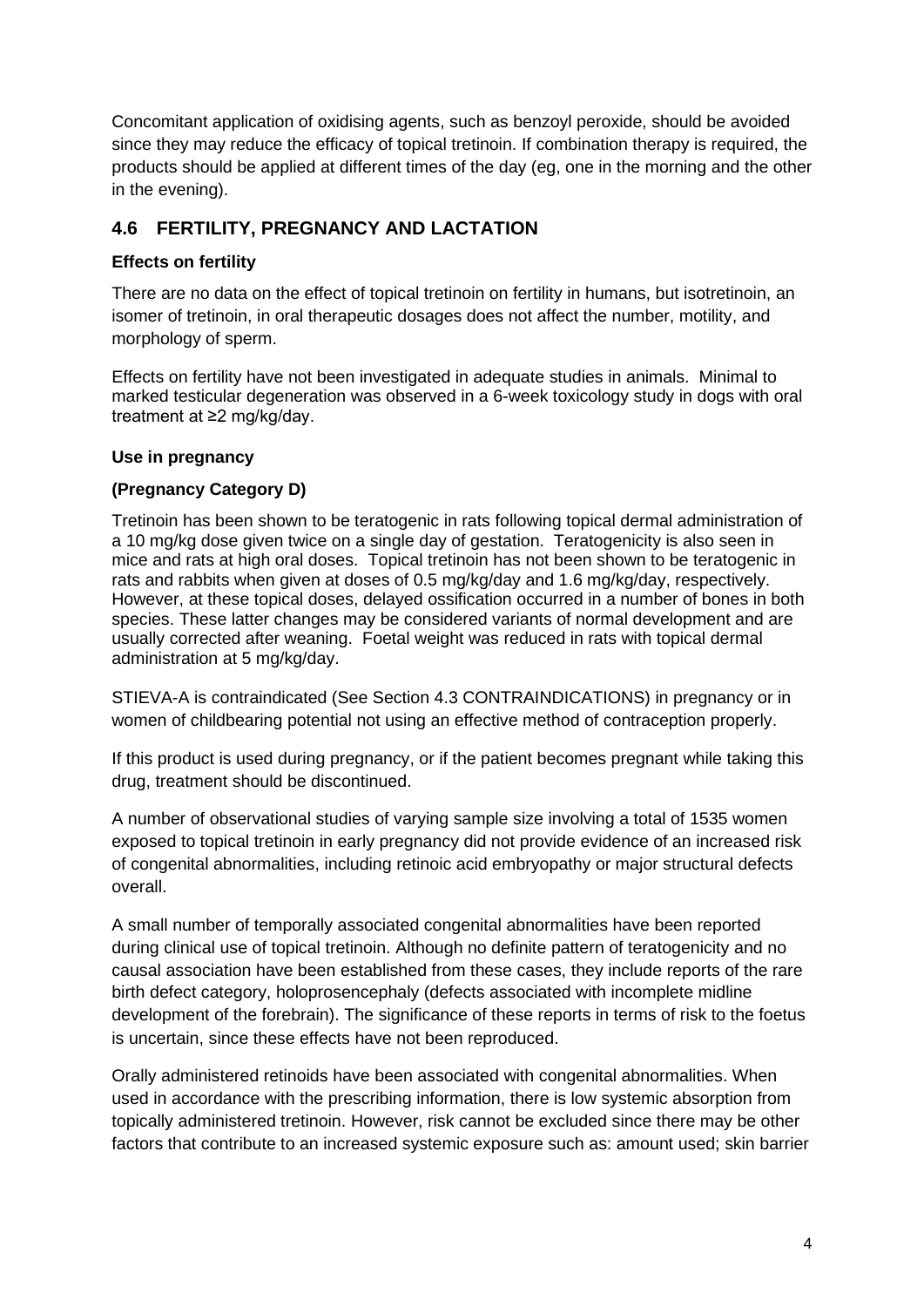Concomitant application of oxidising agents, such as benzoyl peroxide, should be avoided since they may reduce the efficacy of topical tretinoin. If combination therapy is required, the products should be applied at different times of the day (eg, one in the morning and the other in the evening).

## **4.6 FERTILITY, PREGNANCY AND LACTATION**

### **Effects on fertility**

There are no data on the effect of topical tretinoin on fertility in humans, but isotretinoin, an isomer of tretinoin, in oral therapeutic dosages does not affect the number, motility, and morphology of sperm.

Effects on fertility have not been investigated in adequate studies in animals. Minimal to marked testicular degeneration was observed in a 6-week toxicology study in dogs with oral treatment at ≥2 mg/kg/day.

#### **Use in pregnancy**

### **(Pregnancy Category D)**

Tretinoin has been shown to be teratogenic in rats following topical dermal administration of a 10 mg/kg dose given twice on a single day of gestation. Teratogenicity is also seen in mice and rats at high oral doses. Topical tretinoin has not been shown to be teratogenic in rats and rabbits when given at doses of 0.5 mg/kg/day and 1.6 mg/kg/day, respectively. However, at these topical doses, delayed ossification occurred in a number of bones in both species. These latter changes may be considered variants of normal development and are usually corrected after weaning. Foetal weight was reduced in rats with topical dermal administration at 5 mg/kg/day.

STIEVA-A is contraindicated (See Section 4.3 CONTRAINDICATIONS) in pregnancy or in women of childbearing potential not using an effective method of contraception properly.

If this product is used during pregnancy, or if the patient becomes pregnant while taking this drug, treatment should be discontinued.

A number of observational studies of varying sample size involving a total of 1535 women exposed to topical tretinoin in early pregnancy did not provide evidence of an increased risk of congenital abnormalities, including retinoic acid embryopathy or major structural defects overall.

A small number of temporally associated congenital abnormalities have been reported during clinical use of topical tretinoin. Although no definite pattern of teratogenicity and no causal association have been established from these cases, they include reports of the rare birth defect category, holoprosencephaly (defects associated with incomplete midline development of the forebrain). The significance of these reports in terms of risk to the foetus is uncertain, since these effects have not been reproduced.

Orally administered retinoids have been associated with congenital abnormalities. When used in accordance with the prescribing information, there is low systemic absorption from topically administered tretinoin. However, risk cannot be excluded since there may be other factors that contribute to an increased systemic exposure such as: amount used; skin barrier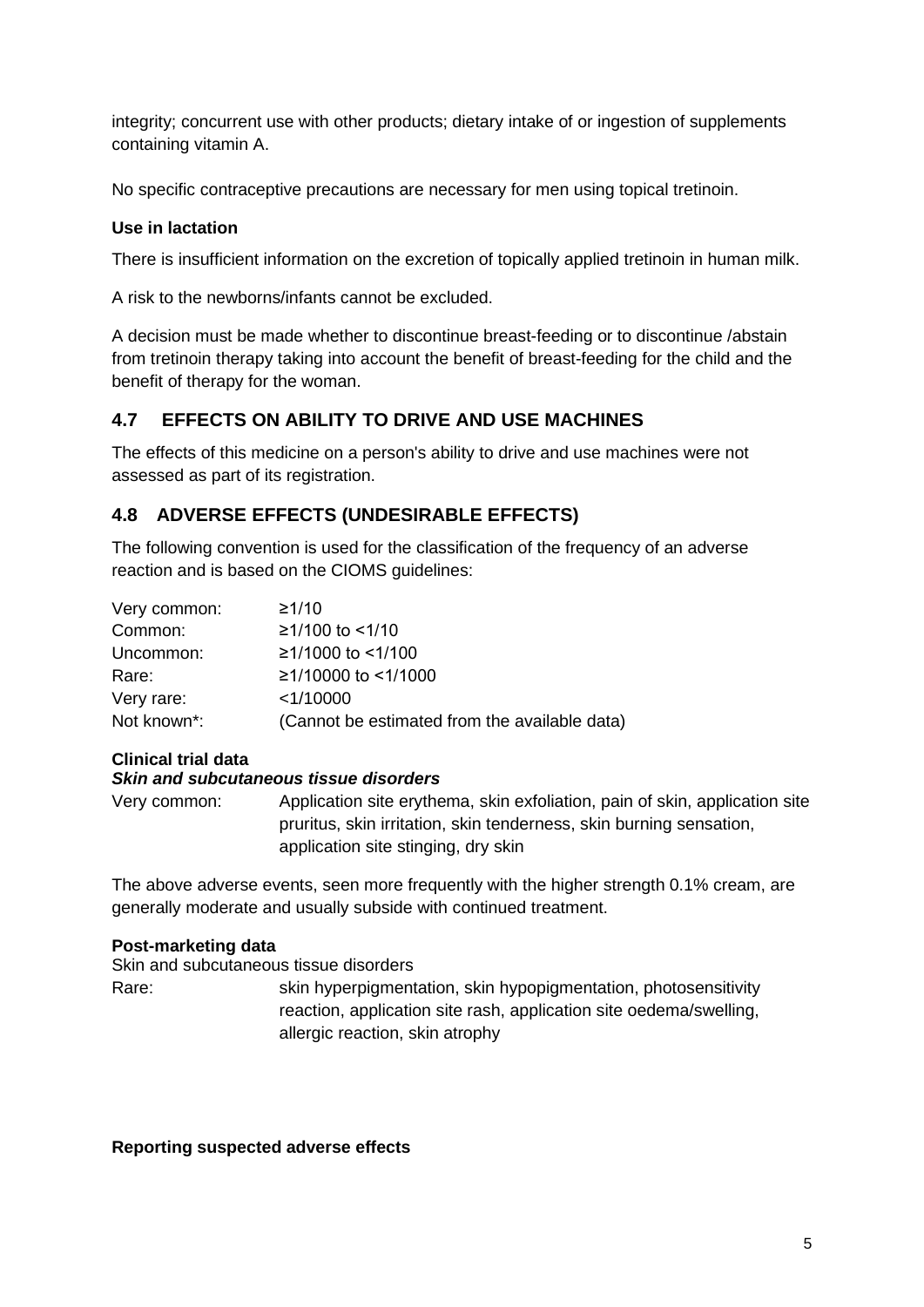integrity; concurrent use with other products; dietary intake of or ingestion of supplements containing vitamin A.

No specific contraceptive precautions are necessary for men using topical tretinoin.

#### **Use in lactation**

There is insufficient information on the excretion of topically applied tretinoin in human milk.

A risk to the newborns/infants cannot be excluded.

A decision must be made whether to discontinue breast-feeding or to discontinue /abstain from tretinoin therapy taking into account the benefit of breast-feeding for the child and the benefit of therapy for the woman.

### **4.7 EFFECTS ON ABILITY TO DRIVE AND USE MACHINES**

The effects of this medicine on a person's ability to drive and use machines were not assessed as part of its registration.

### **4.8 ADVERSE EFFECTS (UNDESIRABLE EFFECTS)**

The following convention is used for the classification of the frequency of an adverse reaction and is based on the CIOMS guidelines:

| Very common: | ≥1/10                                         |
|--------------|-----------------------------------------------|
| Common:      | ≥1/100 to <1/10                               |
| Uncommon:    | ≥1/1000 to <1/100                             |
| Rare:        | ≥1/10000 to <1/1000                           |
| Very rare:   | $<$ 1/10000                                   |
| Not known*:  | (Cannot be estimated from the available data) |

#### **Clinical trial data** *Skin and subcutaneous tissue disorders*

Very common: Application site erythema, skin exfoliation, pain of skin, application site pruritus, skin irritation, skin tenderness, skin burning sensation, application site stinging, dry skin

The above adverse events, seen more frequently with the higher strength 0.1% cream, are generally moderate and usually subside with continued treatment.

#### **Post-marketing data**

Skin and subcutaneous tissue disorders

Rare: skin hyperpigmentation, skin hypopigmentation, photosensitivity reaction, application site rash, application site oedema/swelling, allergic reaction, skin atrophy

#### **Reporting suspected adverse effects**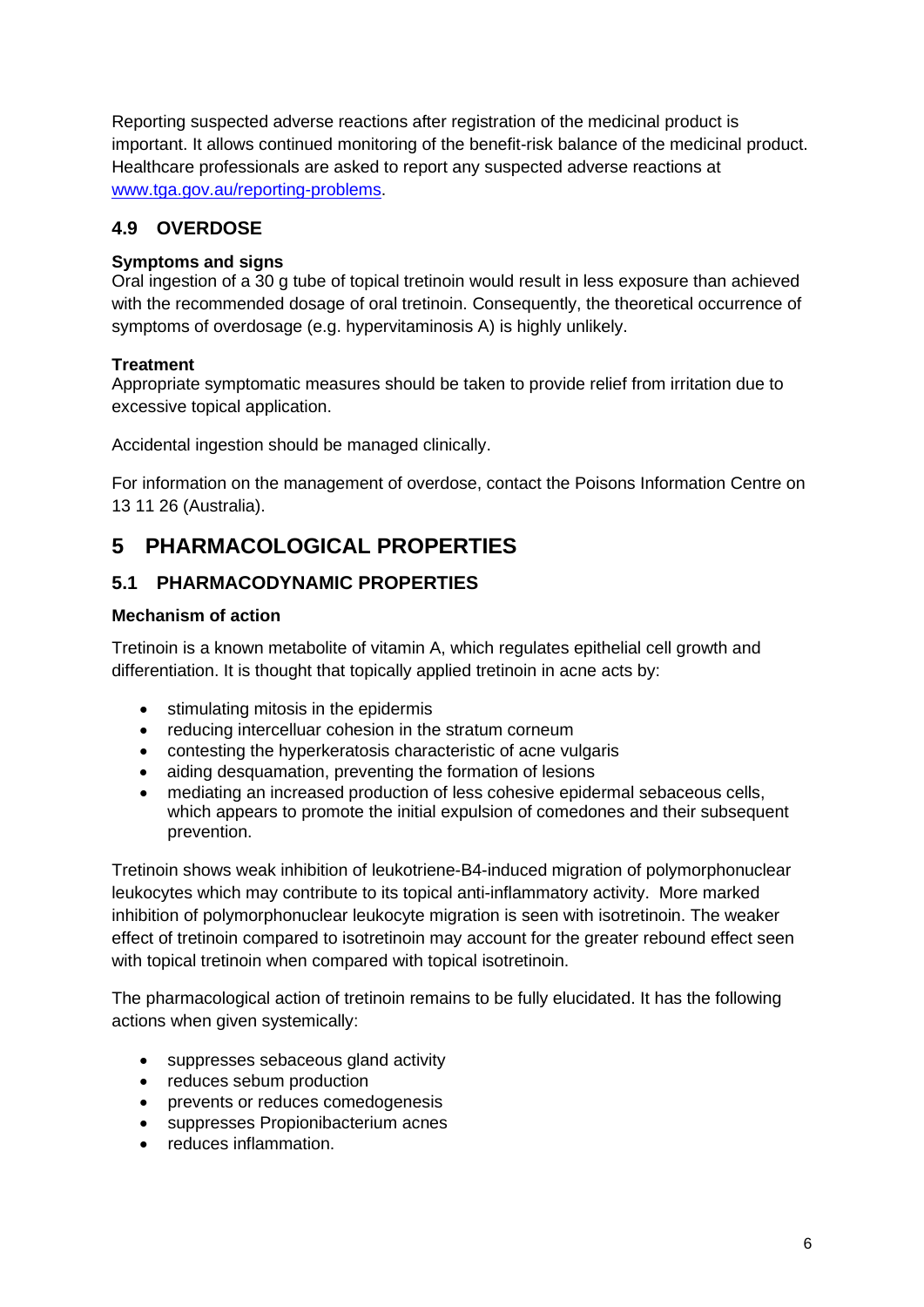Reporting suspected adverse reactions after registration of the medicinal product is important. It allows continued monitoring of the benefit-risk balance of the medicinal product. Healthcare professionals are asked to report any suspected adverse reactions at [www.tga.gov.au/reporting-problems.](http://www.tga.gov.au/reporting-problems)

## **4.9 OVERDOSE**

#### **Symptoms and signs**

Oral ingestion of a 30 g tube of topical tretinoin would result in less exposure than achieved with the recommended dosage of oral tretinoin. Consequently, the theoretical occurrence of symptoms of overdosage (e.g. hypervitaminosis A) is highly unlikely.

### **Treatment**

Appropriate symptomatic measures should be taken to provide relief from irritation due to excessive topical application.

Accidental ingestion should be managed clinically.

For information on the management of overdose, contact the Poisons Information Centre on 13 11 26 (Australia).

# **5 PHARMACOLOGICAL PROPERTIES**

## **5.1 PHARMACODYNAMIC PROPERTIES**

#### **Mechanism of action**

Tretinoin is a known metabolite of vitamin A, which regulates epithelial cell growth and differentiation. It is thought that topically applied tretinoin in acne acts by:

- stimulating mitosis in the epidermis
- reducing intercelluar cohesion in the stratum corneum
- contesting the hyperkeratosis characteristic of acne vulgaris
- aiding desquamation, preventing the formation of lesions
- mediating an increased production of less cohesive epidermal sebaceous cells. which appears to promote the initial expulsion of comedones and their subsequent prevention.

Tretinoin shows weak inhibition of leukotriene-B4-induced migration of polymorphonuclear leukocytes which may contribute to its topical anti-inflammatory activity. More marked inhibition of polymorphonuclear leukocyte migration is seen with isotretinoin. The weaker effect of tretinoin compared to isotretinoin may account for the greater rebound effect seen with topical tretinoin when compared with topical isotretinoin.

The pharmacological action of tretinoin remains to be fully elucidated. It has the following actions when given systemically:

- suppresses sebaceous gland activity
- reduces sebum production
- prevents or reduces comedogenesis
- suppresses Propionibacterium acnes
- reduces inflammation.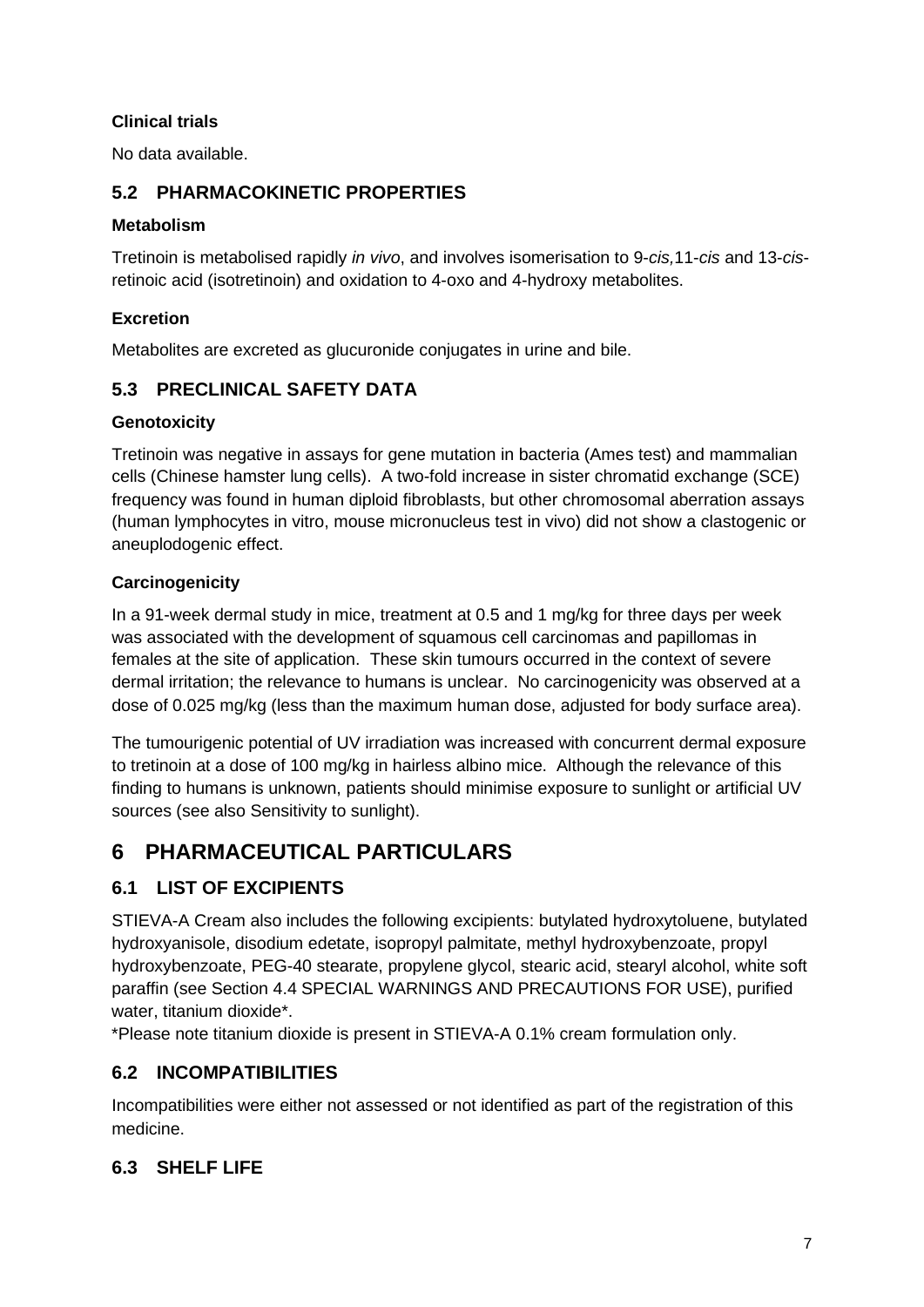### **Clinical trials**

No data available.

## **5.2 PHARMACOKINETIC PROPERTIES**

#### **Metabolism**

Tretinoin is metabolised rapidly *in vivo*, and involves isomerisation to 9-*cis,*11-*cis* and 13-*cis*retinoic acid (isotretinoin) and oxidation to 4-oxo and 4-hydroxy metabolites.

### **Excretion**

Metabolites are excreted as glucuronide conjugates in urine and bile.

## **5.3 PRECLINICAL SAFETY DATA**

#### **Genotoxicity**

Tretinoin was negative in assays for gene mutation in bacteria (Ames test) and mammalian cells (Chinese hamster lung cells). A two-fold increase in sister chromatid exchange (SCE) frequency was found in human diploid fibroblasts, but other chromosomal aberration assays (human lymphocytes in vitro, mouse micronucleus test in vivo) did not show a clastogenic or aneuplodogenic effect.

### **Carcinogenicity**

In a 91-week dermal study in mice, treatment at 0.5 and 1 mg/kg for three days per week was associated with the development of squamous cell carcinomas and papillomas in females at the site of application. These skin tumours occurred in the context of severe dermal irritation; the relevance to humans is unclear. No carcinogenicity was observed at a dose of 0.025 mg/kg (less than the maximum human dose, adjusted for body surface area).

The tumourigenic potential of UV irradiation was increased with concurrent dermal exposure to tretinoin at a dose of 100 mg/kg in hairless albino mice. Although the relevance of this finding to humans is unknown, patients should minimise exposure to sunlight or artificial UV sources (see also Sensitivity to sunlight).

# **6 PHARMACEUTICAL PARTICULARS**

## **6.1 LIST OF EXCIPIENTS**

STIEVA-A Cream also includes the following excipients: butylated hydroxytoluene, butylated hydroxyanisole, disodium edetate, isopropyl palmitate, methyl hydroxybenzoate, propyl hydroxybenzoate, PEG-40 stearate, propylene glycol, stearic acid, stearyl alcohol, white soft paraffin (see Section 4.4 SPECIAL WARNINGS AND PRECAUTIONS FOR USE), purified water, titanium dioxide\*.

\*Please note titanium dioxide is present in STIEVA-A 0.1% cream formulation only.

## **6.2 INCOMPATIBILITIES**

Incompatibilities were either not assessed or not identified as part of the registration of this medicine.

### **6.3 SHELF LIFE**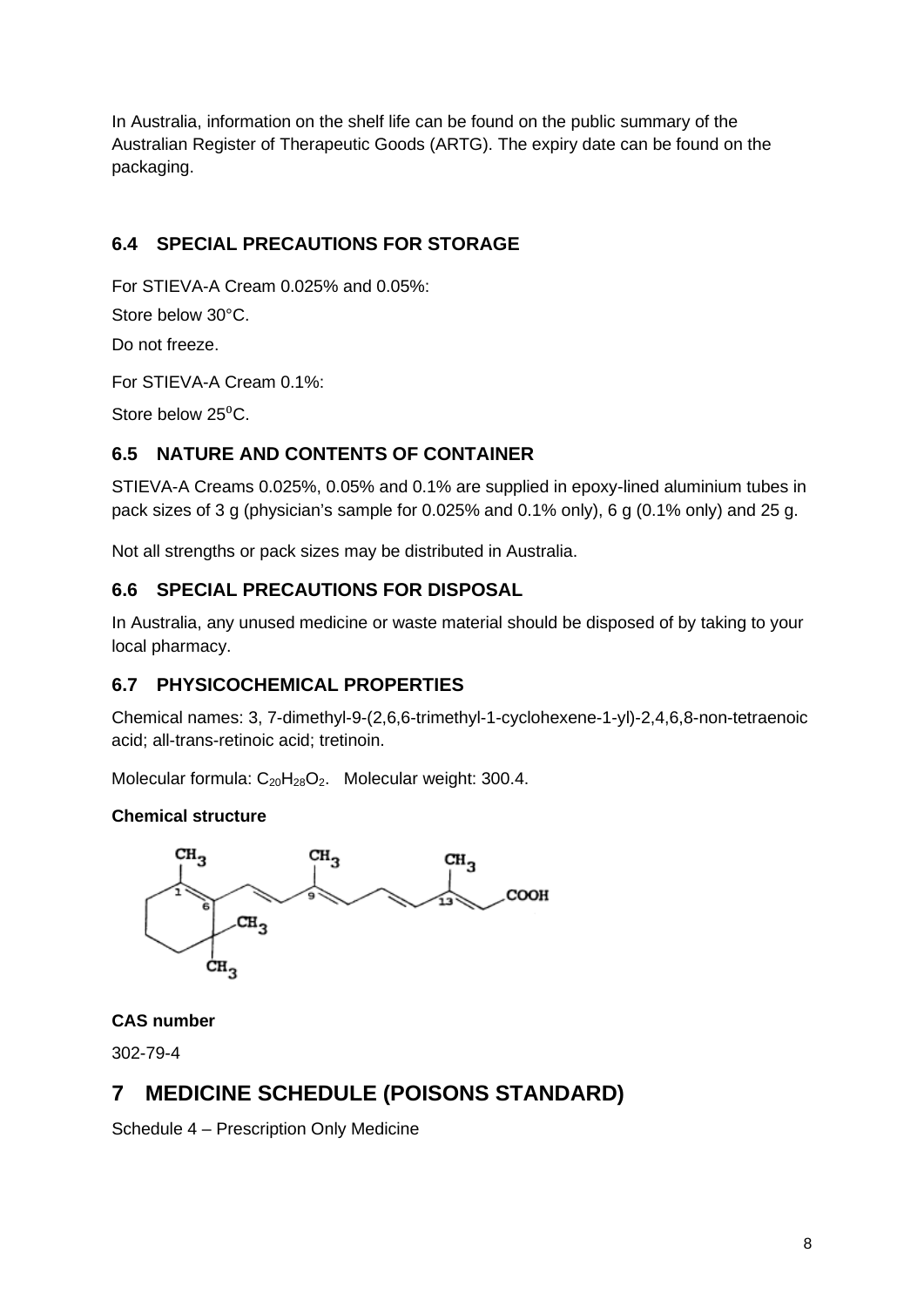In Australia, information on the shelf life can be found on the public summary of the Australian Register of Therapeutic Goods (ARTG). The expiry date can be found on the packaging.

## **6.4 SPECIAL PRECAUTIONS FOR STORAGE**

For STIEVA-A Cream 0.025% and 0.05%:

Store below 30°C.

Do not freeze.

For STIEVA-A Cream 0.1%:

Store below  $25^{\circ}$ C.

## **6.5 NATURE AND CONTENTS OF CONTAINER**

STIEVA-A Creams 0.025%, 0.05% and 0.1% are supplied in epoxy-lined aluminium tubes in pack sizes of 3 g (physician's sample for 0.025% and 0.1% only), 6 g (0.1% only) and 25 g.

Not all strengths or pack sizes may be distributed in Australia.

## **6.6 SPECIAL PRECAUTIONS FOR DISPOSAL**

In Australia, any unused medicine or waste material should be disposed of by taking to your local pharmacy.

### **6.7 PHYSICOCHEMICAL PROPERTIES**

Chemical names: 3, 7-dimethyl-9-(2,6,6-trimethyl-1-cyclohexene-1-yl)-2,4,6,8-non-tetraenoic acid; all-trans-retinoic acid; tretinoin.

Molecular formula:  $C_{20}H_{28}O_2$ . Molecular weight: 300.4.

#### **Chemical structure**



**CAS number**

302-79-4

## **7 MEDICINE SCHEDULE (POISONS STANDARD)**

Schedule 4 – Prescription Only Medicine